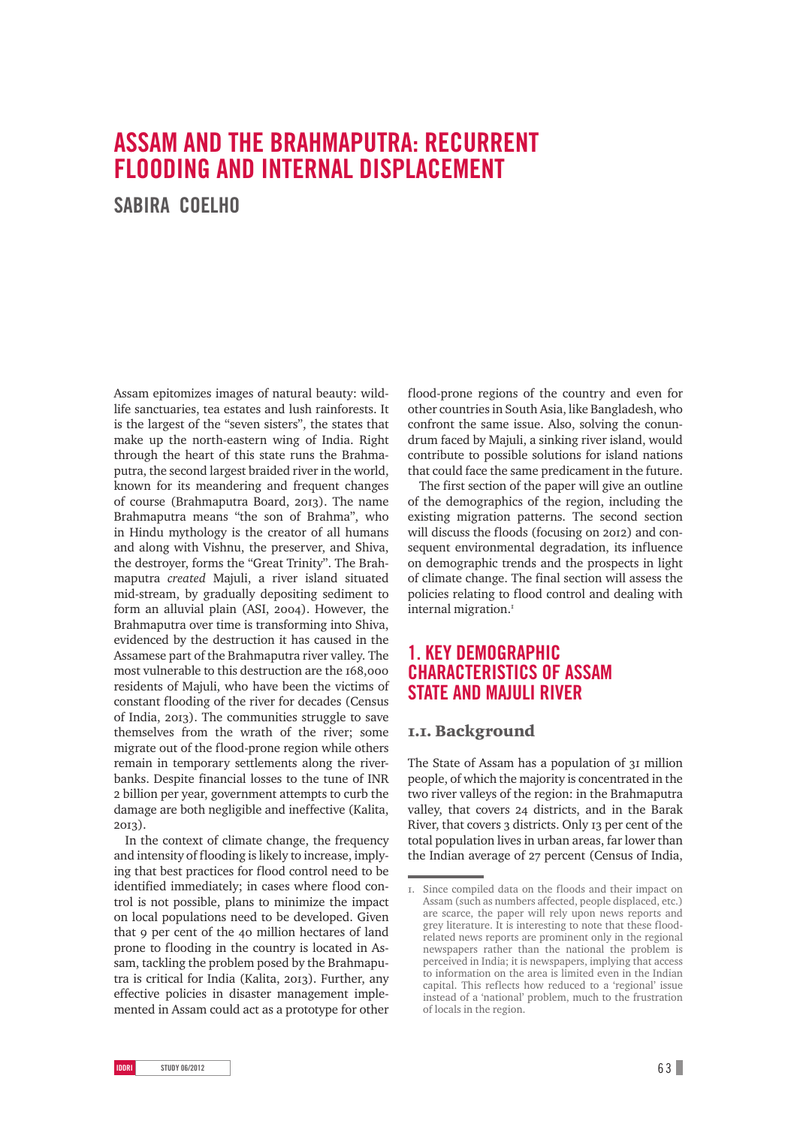# **ASSAM AND THE BRAHMAPUTRA: RECURRENT FLOODING AND INTERNAL DISPLACEMENT**

**SABIRA COELHO**

Assam epitomizes images of natural beauty: wildlife sanctuaries, tea estates and lush rainforests. It is the largest of the "seven sisters", the states that make up the north-eastern wing of India. Right through the heart of this state runs the Brahmaputra, the second largest braided river in the world, known for its meandering and frequent changes of course (Brahmaputra Board, 2013). The name Brahmaputra means "the son of Brahma", who in Hindu mythology is the creator of all humans and along with Vishnu, the preserver, and Shiva, the destroyer, forms the "Great Trinity". The Brahmaputra *created* Majuli, a river island situated mid-stream, by gradually depositing sediment to form an alluvial plain (ASI, 2004). However, the Brahmaputra over time is transforming into Shiva, evidenced by the destruction it has caused in the Assamese part of the Brahmaputra river valley. The most vulnerable to this destruction are the 168,000 residents of Majuli, who have been the victims of constant flooding of the river for decades (Census of India, 2013). The communities struggle to save themselves from the wrath of the river; some migrate out of the flood-prone region while others remain in temporary settlements along the riverbanks. Despite financial losses to the tune of INR billion per year, government attempts to curb the damage are both negligible and ineffective (Kalita, 2013).

In the context of climate change, the frequency and intensity of flooding is likely to increase, implying that best practices for flood control need to be identified immediately; in cases where flood control is not possible, plans to minimize the impact on local populations need to be developed. Given that o per cent of the 40 million hectares of land prone to flooding in the country is located in Assam, tackling the problem posed by the Brahmaputra is critical for India (Kalita, 2013). Further, any effective policies in disaster management implemented in Assam could act as a prototype for other

flood-prone regions of the country and even for other countries in South Asia, like Bangladesh, who confront the same issue. Also, solving the conundrum faced by Majuli, a sinking river island, would contribute to possible solutions for island nations that could face the same predicament in the future.

The first section of the paper will give an outline of the demographics of the region, including the existing migration patterns. The second section will discuss the floods (focusing on 2012) and consequent environmental degradation, its influence on demographic trends and the prospects in light of climate change. The final section will assess the policies relating to flood control and dealing with internal migration.

# **1. KEY DEMOGRAPHIC CHARACTERISTICS OF ASSAM STATE AND MAJULI RIVER**

### .. Background

The State of Assam has a population of 31 million people, of which the majority is concentrated in the two river valleys of the region: in the Brahmaputra valley, that covers 24 districts, and in the Barak River, that covers 3 districts. Only 13 per cent of the total population lives in urban areas, far lower than the Indian average of 27 percent (Census of India,

<sup>.</sup> Since compiled data on the floods and their impact on Assam (such as numbers affected, people displaced, etc.) are scarce, the paper will rely upon news reports and grey literature. It is interesting to note that these floodrelated news reports are prominent only in the regional newspapers rather than the national the problem is perceived in India; it is newspapers, implying that access to information on the area is limited even in the Indian capital. This reflects how reduced to a 'regional' issue instead of a 'national' problem, much to the frustration of locals in the region.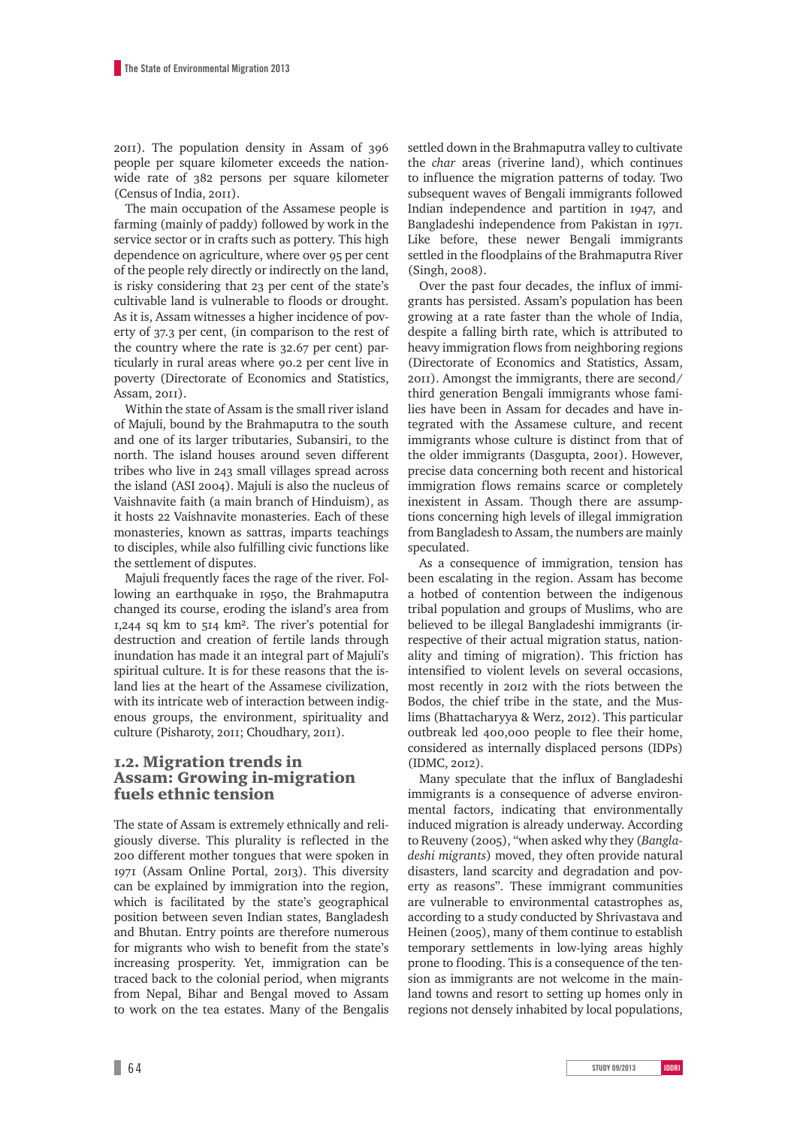). The population density in Assam of people per square kilometer exceeds the nationwide rate of  $382$  persons per square kilometer (Census of India, 2011).

The main occupation of the Assamese people is farming (mainly of paddy) followed by work in the service sector or in crafts such as pottery. This high dependence on agriculture, where over 95 per cent of the people rely directly or indirectly on the land, is risky considering that 23 per cent of the state's cultivable land is vulnerable to floods or drought. As it is, Assam witnesses a higher incidence of poverty of 37.3 per cent, (in comparison to the rest of the country where the rate is 32.67 per cent) particularly in rural areas where 90.2 per cent live in poverty (Directorate of Economics and Statistics, Assam, 2011).

Within the state of Assam is the small river island of Majuli, bound by the Brahmaputra to the south and one of its larger tributaries, Subansiri, to the north. The island houses around seven different tribes who live in 243 small villages spread across the island (ASI 2004). Majuli is also the nucleus of Vaishnavite faith (a main branch of Hinduism), as it hosts 22 Vaishnavite monasteries. Each of these monasteries, known as sattras, imparts teachings to disciples, while also fulfilling civic functions like the settlement of disputes.

Majuli frequently faces the rage of the river. Following an earthquake in 1950, the Brahmaputra changed its course, eroding the island's area from  $I$ , 244 sq km to  $5I4$  km<sup>2</sup>. The river's potential for destruction and creation of fertile lands through inundation has made it an integral part of Majuli's spiritual culture. It is for these reasons that the island lies at the heart of the Assamese civilization, with its intricate web of interaction between indigenous groups, the environment, spirituality and culture (Pisharoty, 2011; Choudhary, 2011).

### .. Migration trends in Assam: Growing in-migration fuels ethnic tension

The state of Assam is extremely ethnically and religiously diverse. This plurality is reflected in the 200 different mother tongues that were spoken in 1971 (Assam Online Portal, 2013). This diversity can be explained by immigration into the region, which is facilitated by the state's geographical position between seven Indian states, Bangladesh and Bhutan. Entry points are therefore numerous for migrants who wish to benefit from the state's increasing prosperity. Yet, immigration can be traced back to the colonial period, when migrants from Nepal, Bihar and Bengal moved to Assam to work on the tea estates. Many of the Bengalis settled down in the Brahmaputra valley to cultivate the *char* areas (riverine land), which continues to influence the migration patterns of today. Two subsequent waves of Bengali immigrants followed Indian independence and partition in 1947, and Bangladeshi independence from Pakistan in 1971. Like before, these newer Bengali immigrants settled in the floodplains of the Brahmaputra River  $(Singh, 2008).$ 

Over the past four decades, the influx of immigrants has persisted. Assam's population has been growing at a rate faster than the whole of India, despite a falling birth rate, which is attributed to heavy immigration flows from neighboring regions (Directorate of Economics and Statistics, Assam, ). Amongst the immigrants, there are second/ third generation Bengali immigrants whose families have been in Assam for decades and have integrated with the Assamese culture, and recent immigrants whose culture is distinct from that of the older immigrants (Dasgupta, 2001). However, precise data concerning both recent and historical immigration flows remains scarce or completely inexistent in Assam. Though there are assumptions concerning high levels of illegal immigration from Bangladesh to Assam, the numbers are mainly speculated.

As a consequence of immigration, tension has been escalating in the region. Assam has become a hotbed of contention between the indigenous tribal population and groups of Muslims, who are believed to be illegal Bangladeshi immigrants (irrespective of their actual migration status, nationality and timing of migration). This friction has intensified to violent levels on several occasions, most recently in 2012 with the riots between the Bodos, the chief tribe in the state, and the Muslims (Bhattacharyya & Werz, 2012). This particular outbreak led 400,000 people to flee their home, considered as internally displaced persons (IDPs) (IDMC, 2012).

Many speculate that the influx of Bangladeshi immigrants is a consequence of adverse environmental factors, indicating that environmentally induced migration is already underway. According to Reuveny (2005), "when asked why they (*Bangladeshi migrants*) moved, they often provide natural disasters, land scarcity and degradation and poverty as reasons". These immigrant communities are vulnerable to environmental catastrophes as, according to a study conducted by Shrivastava and Heinen (2005), many of them continue to establish temporary settlements in low-lying areas highly prone to flooding. This is a consequence of the tension as immigrants are not welcome in the mainland towns and resort to setting up homes only in regions not densely inhabited by local populations,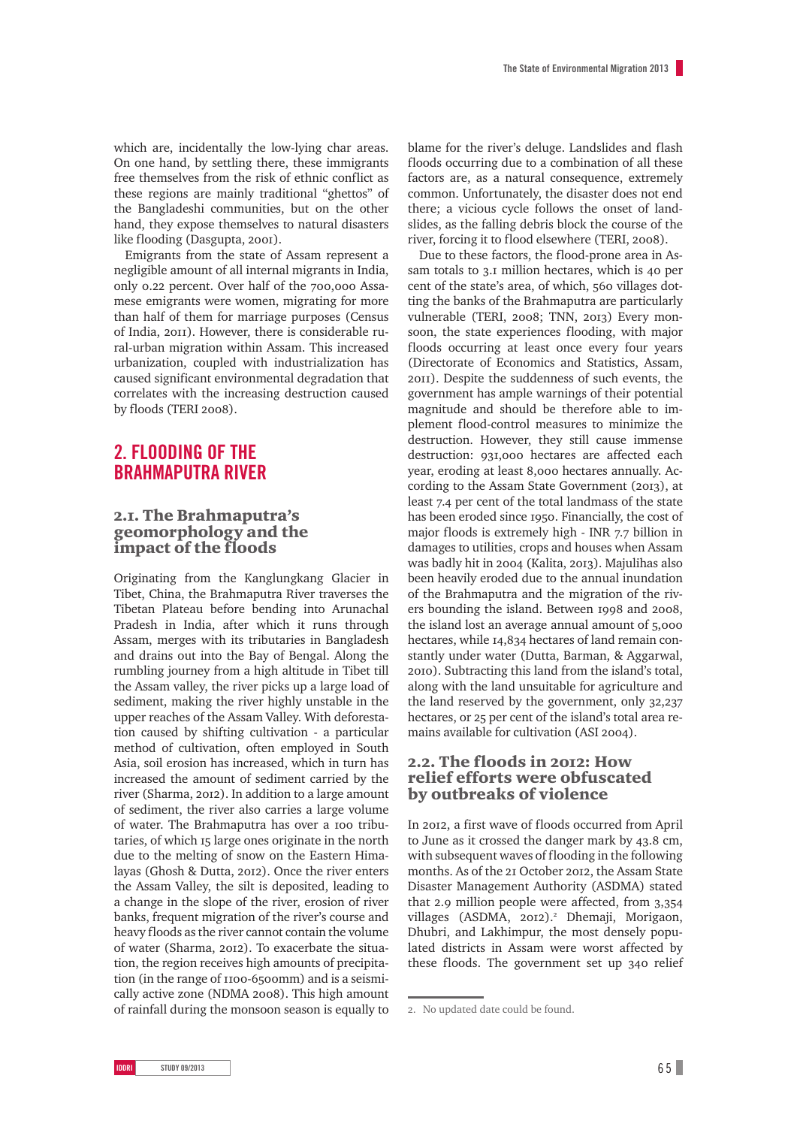which are, incidentally the low-lying char areas. On one hand, by settling there, these immigrants free themselves from the risk of ethnic conflict as these regions are mainly traditional "ghettos" of the Bangladeshi communities, but on the other hand, they expose themselves to natural disasters like flooding (Dasgupta, 2001).

Emigrants from the state of Assam represent a negligible amount of all internal migrants in India, only 0.22 percent. Over half of the 700,000 Assamese emigrants were women, migrating for more than half of them for marriage purposes (Census of India, 2011). However, there is considerable rural-urban migration within Assam. This increased urbanization, coupled with industrialization has caused significant environmental degradation that correlates with the increasing destruction caused by floods (TERI 2008).

# **2. FLOODING OF THE BRAHMAPUTRA RIVER**

### 2.I. The Brahmaputra's geomorphology and the impact of the floods

Originating from the Kanglungkang Glacier in Tibet, China, the Brahmaputra River traverses the Tibetan Plateau before bending into Arunachal Pradesh in India, after which it runs through Assam, merges with its tributaries in Bangladesh and drains out into the Bay of Bengal. Along the rumbling journey from a high altitude in Tibet till the Assam valley, the river picks up a large load of sediment, making the river highly unstable in the upper reaches of the Assam Valley. With deforestation caused by shifting cultivation - a particular method of cultivation, often employed in South Asia, soil erosion has increased, which in turn has increased the amount of sediment carried by the river (Sharma, 2012). In addition to a large amount of sediment, the river also carries a large volume of water. The Brahmaputra has over a 100 tributaries, of which 15 large ones originate in the north due to the melting of snow on the Eastern Himalayas (Ghosh & Dutta, 2012). Once the river enters the Assam Valley, the silt is deposited, leading to a change in the slope of the river, erosion of river banks, frequent migration of the river's course and heavy floods as the river cannot contain the volume of water (Sharma, 2012). To exacerbate the situation, the region receives high amounts of precipitation (in the range of 1100-6500mm) and is a seismically active zone (NDMA 2008). This high amount of rainfall during the monsoon season is equally to

blame for the river's deluge. Landslides and flash floods occurring due to a combination of all these factors are, as a natural consequence, extremely common. Unfortunately, the disaster does not end there; a vicious cycle follows the onset of landslides, as the falling debris block the course of the river, forcing it to flood elsewhere (TERI, 2008).

Due to these factors, the flood-prone area in Assam totals to  $3.1$  million hectares, which is 40 per cent of the state's area, of which, 560 villages dotting the banks of the Brahmaputra are particularly vulnerable (TERI, 2008; TNN, 2013) Every monsoon, the state experiences flooding, with major floods occurring at least once every four years (Directorate of Economics and Statistics, Assam, ). Despite the suddenness of such events, the government has ample warnings of their potential magnitude and should be therefore able to implement flood-control measures to minimize the destruction. However, they still cause immense destruction: 931,000 hectares are affected each year, eroding at least 8,000 hectares annually. According to the Assam State Government (2013), at least 7.4 per cent of the total landmass of the state has been eroded since 1950. Financially, the cost of major floods is extremely high - INR  $7.7$  billion in damages to utilities, crops and houses when Assam was badly hit in 2004 (Kalita, 2013). Majulihas also been heavily eroded due to the annual inundation of the Brahmaputra and the migration of the rivers bounding the island. Between 1998 and 2008. the island lost an average annual amount of 5,000 hectares, while 14,834 hectares of land remain constantly under water (Dutta, Barman, & Aggarwal, ). Subtracting this land from the island's total, along with the land unsuitable for agriculture and the land reserved by the government, only  $32,237$ hectares, or 25 per cent of the island's total area remains available for cultivation (ASI 2004).

### 2.2. The floods in 2012: How relief efforts were obfuscated by outbreaks of violence

In 2012, a first wave of floods occurred from April to June as it crossed the danger mark by 43.8 cm, with subsequent waves of flooding in the following months. As of the 21 October 2012, the Assam State Disaster Management Authority (ASDMA) stated that 2.9 million people were affected, from  $3,354$ villages (ASDMA, 2012).<sup>2</sup> Dhemaji, Morigaon, Dhubri, and Lakhimpur, the most densely populated districts in Assam were worst affected by these floods. The government set up 340 relief

<sup>.</sup> No updated date could be found.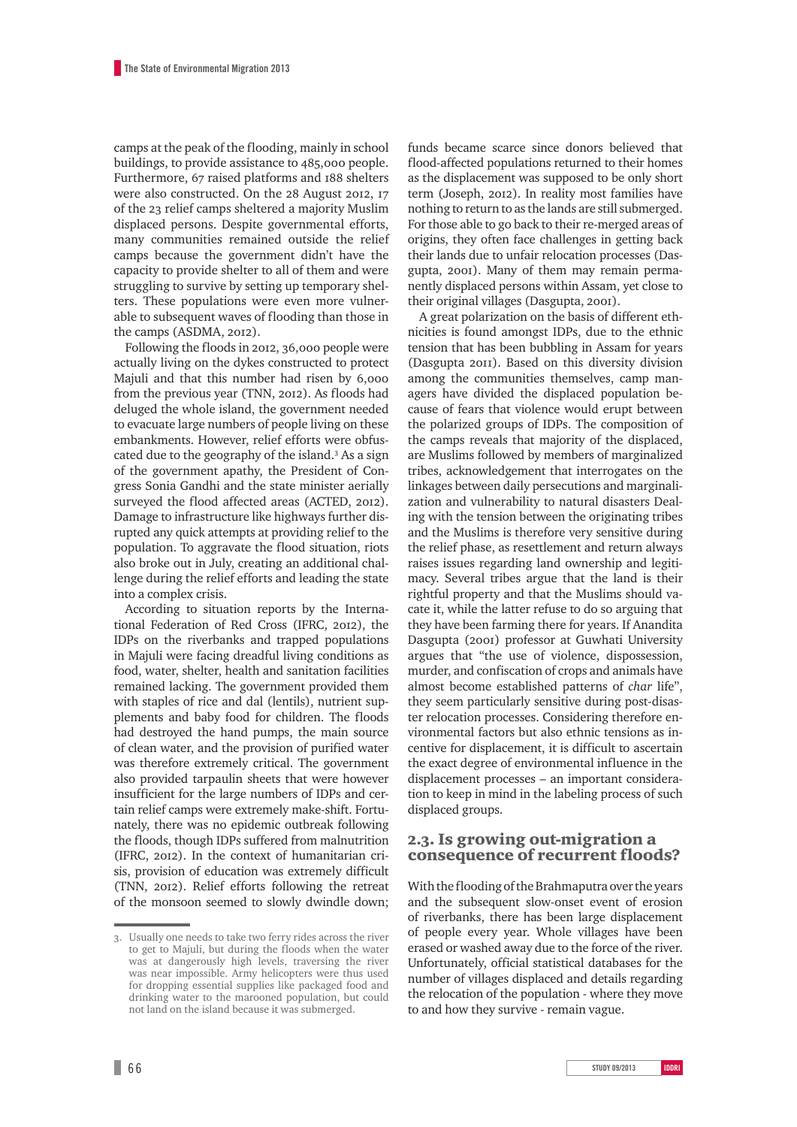camps at the peak of the flooding, mainly in school buildings, to provide assistance to 485,000 people. Furthermore, 67 raised platforms and 188 shelters were also constructed. On the 28 August 2012, 17 of the 23 relief camps sheltered a majority Muslim displaced persons. Despite governmental efforts, many communities remained outside the relief camps because the government didn't have the capacity to provide shelter to all of them and were struggling to survive by setting up temporary shelters. These populations were even more vulnerable to subsequent waves of flooding than those in the camps (ASDMA, 2012).

Following the floods in 2012, 36,000 people were actually living on the dykes constructed to protect Majuli and that this number had risen by 6,000 from the previous year (TNN, 2012). As floods had deluged the whole island, the government needed to evacuate large numbers of people living on these embankments. However, relief efforts were obfuscated due to the geography of the island.<sup>3</sup> As a sign of the government apathy, the President of Congress Sonia Gandhi and the state minister aerially surveyed the flood affected areas (ACTED, 2012). Damage to infrastructure like highways further disrupted any quick attempts at providing relief to the population. To aggravate the flood situation, riots also broke out in July, creating an additional challenge during the relief efforts and leading the state into a complex crisis.

According to situation reports by the International Federation of Red Cross (IFRC, 2012), the IDPs on the riverbanks and trapped populations in Majuli were facing dreadful living conditions as food, water, shelter, health and sanitation facilities remained lacking. The government provided them with staples of rice and dal (lentils), nutrient supplements and baby food for children. The floods had destroyed the hand pumps, the main source of clean water, and the provision of purified water was therefore extremely critical. The government also provided tarpaulin sheets that were however insufficient for the large numbers of IDPs and certain relief camps were extremely make-shift. Fortunately, there was no epidemic outbreak following the floods, though IDPs suffered from malnutrition (IFRC, 2012). In the context of humanitarian crisis, provision of education was extremely difficult (TNN, 2012). Relief efforts following the retreat of the monsoon seemed to slowly dwindle down; funds became scarce since donors believed that flood-affected populations returned to their homes as the displacement was supposed to be only short term (Joseph, 2012). In reality most families have nothing to return to as the lands are still submerged. For those able to go back to their re-merged areas of origins, they often face challenges in getting back their lands due to unfair relocation processes (Dasgupta, 2001). Many of them may remain permanently displaced persons within Assam, yet close to their original villages (Dasgupta, 2001).

A great polarization on the basis of different ethnicities is found amongst IDPs, due to the ethnic tension that has been bubbling in Assam for years (Dasgupta 2011). Based on this diversity division among the communities themselves, camp managers have divided the displaced population because of fears that violence would erupt between the polarized groups of IDPs. The composition of the camps reveals that majority of the displaced, are Muslims followed by members of marginalized tribes, acknowledgement that interrogates on the linkages between daily persecutions and marginalization and vulnerability to natural disasters Dealing with the tension between the originating tribes and the Muslims is therefore very sensitive during the relief phase, as resettlement and return always raises issues regarding land ownership and legitimacy. Several tribes argue that the land is their rightful property and that the Muslims should vacate it, while the latter refuse to do so arguing that they have been farming there for years. If Anandita Dasgupta (2001) professor at Guwhati University argues that "the use of violence, dispossession, murder, and confiscation of crops and animals have almost become established patterns of *char* life", they seem particularly sensitive during post-disaster relocation processes. Considering therefore environmental factors but also ethnic tensions as incentive for displacement, it is difficult to ascertain the exact degree of environmental influence in the displacement processes – an important consideration to keep in mind in the labeling process of such displaced groups.

### 2.3. Is growing out-migration a consequence of recurrent floods?

With the flooding of the Brahmaputra over the years and the subsequent slow-onset event of erosion of riverbanks, there has been large displacement of people every year. Whole villages have been erased or washed away due to the force of the river. Unfortunately, official statistical databases for the number of villages displaced and details regarding the relocation of the population - where they move to and how they survive - remain vague.

<sup>.</sup> Usually one needs to take two ferry rides across the river to get to Majuli, but during the floods when the water was at dangerously high levels, traversing the river was near impossible. Army helicopters were thus used for dropping essential supplies like packaged food and drinking water to the marooned population, but could not land on the island because it was submerged.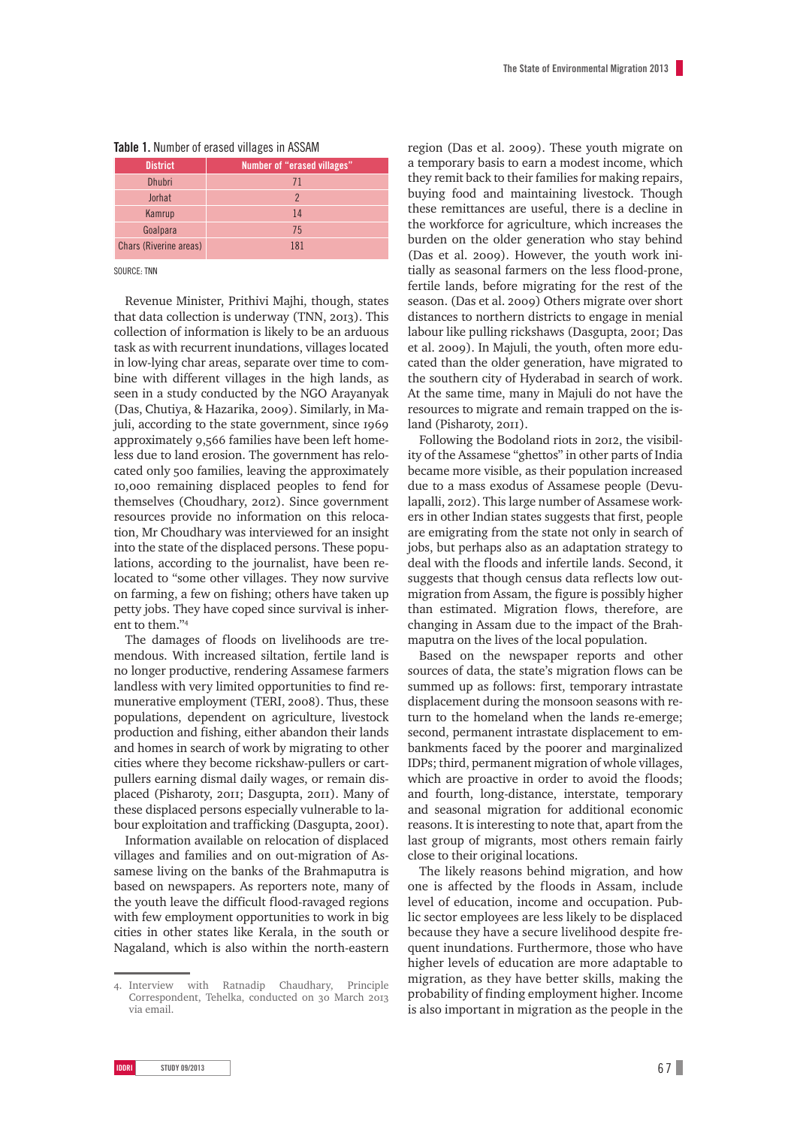|  |  | Table 1. Number of erased villages in ASSAM |  |  |  |  |  |
|--|--|---------------------------------------------|--|--|--|--|--|
|--|--|---------------------------------------------|--|--|--|--|--|

| <b>District</b>        | Number of "erased villages" |  |  |  |  |
|------------------------|-----------------------------|--|--|--|--|
| <b>Dhubri</b>          | 71                          |  |  |  |  |
| Jorhat                 | $\mathcal{P}$               |  |  |  |  |
| Kamrup                 | 14                          |  |  |  |  |
| Goalpara               | 75                          |  |  |  |  |
| Chars (Riverine areas) | 181                         |  |  |  |  |

SOURCE: TNN

Revenue Minister, Prithivi Majhi, though, states that data collection is underway (TNN,  $2013$ ). This collection of information is likely to be an arduous task as with recurrent inundations, villages located in low-lying char areas, separate over time to combine with different villages in the high lands, as seen in a study conducted by the NGO Arayanyak (Das, Chutiya, & Hazarika, 2009). Similarly, in Majuli, according to the state government, since 1969 approximately 9,566 families have been left homeless due to land erosion. The government has relocated only 500 families, leaving the approximately , remaining displaced peoples to fend for themselves (Choudhary, 2012). Since government resources provide no information on this relocation, Mr Choudhary was interviewed for an insight into the state of the displaced persons. These populations, according to the journalist, have been relocated to "some other villages. They now survive on farming, a few on fishing; others have taken up petty jobs. They have coped since survival is inherent to them."

The damages of floods on livelihoods are tremendous. With increased siltation, fertile land is no longer productive, rendering Assamese farmers landless with very limited opportunities to find remunerative employment (TERI, 2008). Thus, these populations, dependent on agriculture, livestock production and fishing, either abandon their lands and homes in search of work by migrating to other cities where they become rickshaw-pullers or cartpullers earning dismal daily wages, or remain displaced (Pisharoty, 2011; Dasgupta, 2011). Many of these displaced persons especially vulnerable to labour exploitation and trafficking (Dasgupta, 2001).

Information available on relocation of displaced villages and families and on out-migration of Assamese living on the banks of the Brahmaputra is based on newspapers. As reporters note, many of the youth leave the difficult flood-ravaged regions with few employment opportunities to work in big cities in other states like Kerala, in the south or Nagaland, which is also within the north-eastern region (Das et al. 2009). These youth migrate on a temporary basis to earn a modest income, which they remit back to their families for making repairs, buying food and maintaining livestock. Though these remittances are useful, there is a decline in the workforce for agriculture, which increases the burden on the older generation who stay behind (Das et al. 2009). However, the youth work initially as seasonal farmers on the less flood-prone, fertile lands, before migrating for the rest of the season. (Das et al. 2009) Others migrate over short distances to northern districts to engage in menial labour like pulling rickshaws (Dasgupta, 2001; Das et al. 2009). In Majuli, the youth, often more educated than the older generation, have migrated to the southern city of Hyderabad in search of work. At the same time, many in Majuli do not have the resources to migrate and remain trapped on the island (Pisharoty, 2011).

Following the Bodoland riots in 2012, the visibility of the Assamese "ghettos" in other parts of India became more visible, as their population increased due to a mass exodus of Assamese people (Devulapalli, 2012). This large number of Assamese workers in other Indian states suggests that first, people are emigrating from the state not only in search of jobs, but perhaps also as an adaptation strategy to deal with the floods and infertile lands. Second, it suggests that though census data reflects low outmigration from Assam, the figure is possibly higher than estimated. Migration flows, therefore, are changing in Assam due to the impact of the Brahmaputra on the lives of the local population.

Based on the newspaper reports and other sources of data, the state's migration flows can be summed up as follows: first, temporary intrastate displacement during the monsoon seasons with return to the homeland when the lands re-emerge; second, permanent intrastate displacement to embankments faced by the poorer and marginalized IDPs; third, permanent migration of whole villages, which are proactive in order to avoid the floods; and fourth, long-distance, interstate, temporary and seasonal migration for additional economic reasons. It is interesting to note that, apart from the last group of migrants, most others remain fairly close to their original locations.

The likely reasons behind migration, and how one is affected by the floods in Assam, include level of education, income and occupation. Public sector employees are less likely to be displaced because they have a secure livelihood despite frequent inundations. Furthermore, those who have higher levels of education are more adaptable to migration, as they have better skills, making the probability of finding employment higher. Income is also important in migration as the people in the

<sup>.</sup> Interview with Ratnadip Chaudhary, Principle Correspondent, Tehelka, conducted on 30 March 2013 via email.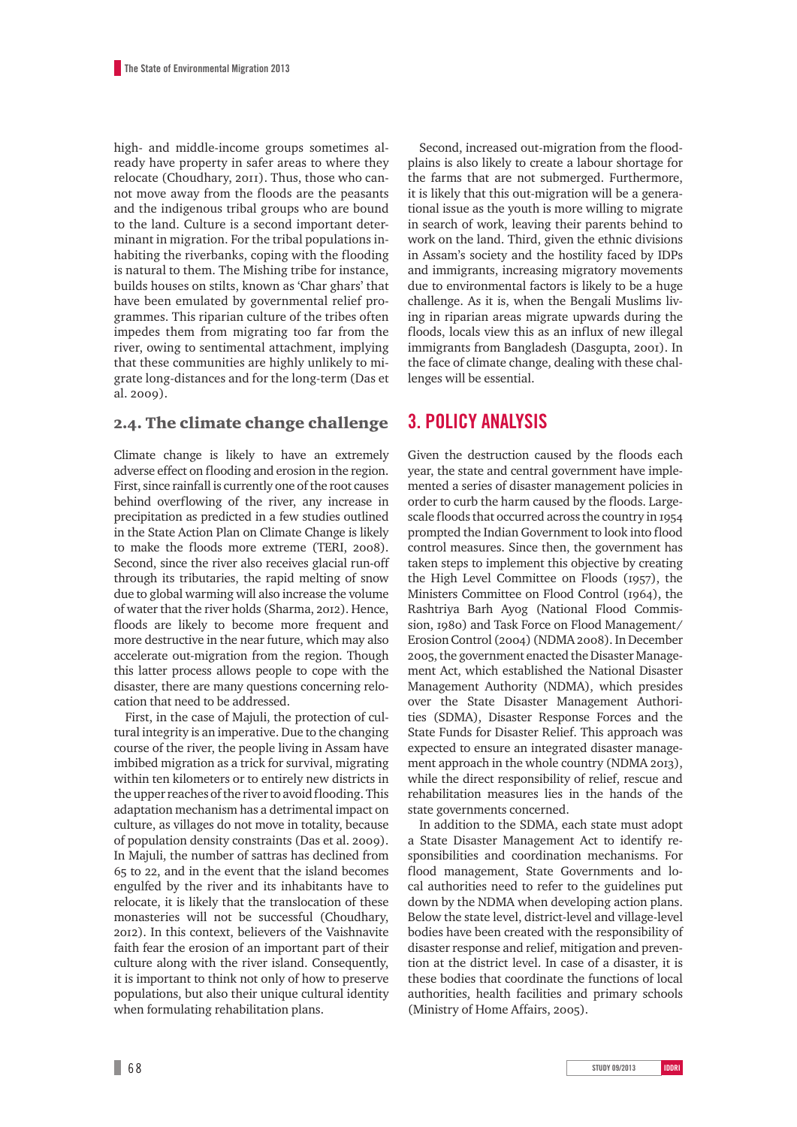high- and middle-income groups sometimes already have property in safer areas to where they relocate (Choudhary, 2011). Thus, those who cannot move away from the floods are the peasants and the indigenous tribal groups who are bound to the land. Culture is a second important determinant in migration. For the tribal populations inhabiting the riverbanks, coping with the flooding is natural to them. The Mishing tribe for instance, builds houses on stilts, known as 'Char ghars' that have been emulated by governmental relief programmes. This riparian culture of the tribes often impedes them from migrating too far from the river, owing to sentimental attachment, implying that these communities are highly unlikely to migrate long-distances and for the long-term (Das et al. 2009).

### 2.4. The climate change challenge

Climate change is likely to have an extremely adverse effect on flooding and erosion in the region. First, since rainfall is currently one of the root causes behind overflowing of the river, any increase in precipitation as predicted in a few studies outlined in the State Action Plan on Climate Change is likely to make the floods more extreme (TERI, 2008). Second, since the river also receives glacial run-off through its tributaries, the rapid melting of snow due to global warming will also increase the volume of water that the river holds (Sharma, 2012). Hence, floods are likely to become more frequent and more destructive in the near future, which may also accelerate out-migration from the region. Though this latter process allows people to cope with the disaster, there are many questions concerning relocation that need to be addressed.

First, in the case of Majuli, the protection of cultural integrity is an imperative. Due to the changing course of the river, the people living in Assam have imbibed migration as a trick for survival, migrating within ten kilometers or to entirely new districts in the upper reaches of the river to avoid flooding. This adaptation mechanism has a detrimental impact on culture, as villages do not move in totality, because of population density constraints (Das et al. 2009). In Majuli, the number of sattras has declined from 65 to 22, and in the event that the island becomes engulfed by the river and its inhabitants have to relocate, it is likely that the translocation of these monasteries will not be successful (Choudhary, ). In this context, believers of the Vaishnavite faith fear the erosion of an important part of their culture along with the river island. Consequently, it is important to think not only of how to preserve populations, but also their unique cultural identity when formulating rehabilitation plans.

Second, increased out-migration from the floodplains is also likely to create a labour shortage for the farms that are not submerged. Furthermore, it is likely that this out-migration will be a generational issue as the youth is more willing to migrate in search of work, leaving their parents behind to work on the land. Third, given the ethnic divisions in Assam's society and the hostility faced by IDPs and immigrants, increasing migratory movements due to environmental factors is likely to be a huge challenge. As it is, when the Bengali Muslims living in riparian areas migrate upwards during the floods, locals view this as an influx of new illegal immigrants from Bangladesh (Dasgupta, 2001). In the face of climate change, dealing with these challenges will be essential.

## **3. POLICY ANALYSIS**

Given the destruction caused by the floods each year, the state and central government have implemented a series of disaster management policies in order to curb the harm caused by the floods. Largescale floods that occurred across the country in 1954 prompted the Indian Government to look into flood control measures. Since then, the government has taken steps to implement this objective by creating the High Level Committee on Floods  $(1957)$ , the Ministers Committee on Flood Control (1964), the Rashtriya Barh Ayog (National Flood Commission, 1980) and Task Force on Flood Management/ Erosion Control (2004) (NDMA 2008). In December , the government enacted the Disaster Management Act, which established the National Disaster Management Authority (NDMA), which presides over the State Disaster Management Authorities (SDMA), Disaster Response Forces and the State Funds for Disaster Relief. This approach was expected to ensure an integrated disaster management approach in the whole country (NDMA 2013), while the direct responsibility of relief, rescue and rehabilitation measures lies in the hands of the state governments concerned.

In addition to the SDMA, each state must adopt a State Disaster Management Act to identify responsibilities and coordination mechanisms. For flood management, State Governments and local authorities need to refer to the guidelines put down by the NDMA when developing action plans. Below the state level, district-level and village-level bodies have been created with the responsibility of disaster response and relief, mitigation and prevention at the district level. In case of a disaster, it is these bodies that coordinate the functions of local authorities, health facilities and primary schools (Ministry of Home Affairs, 2005).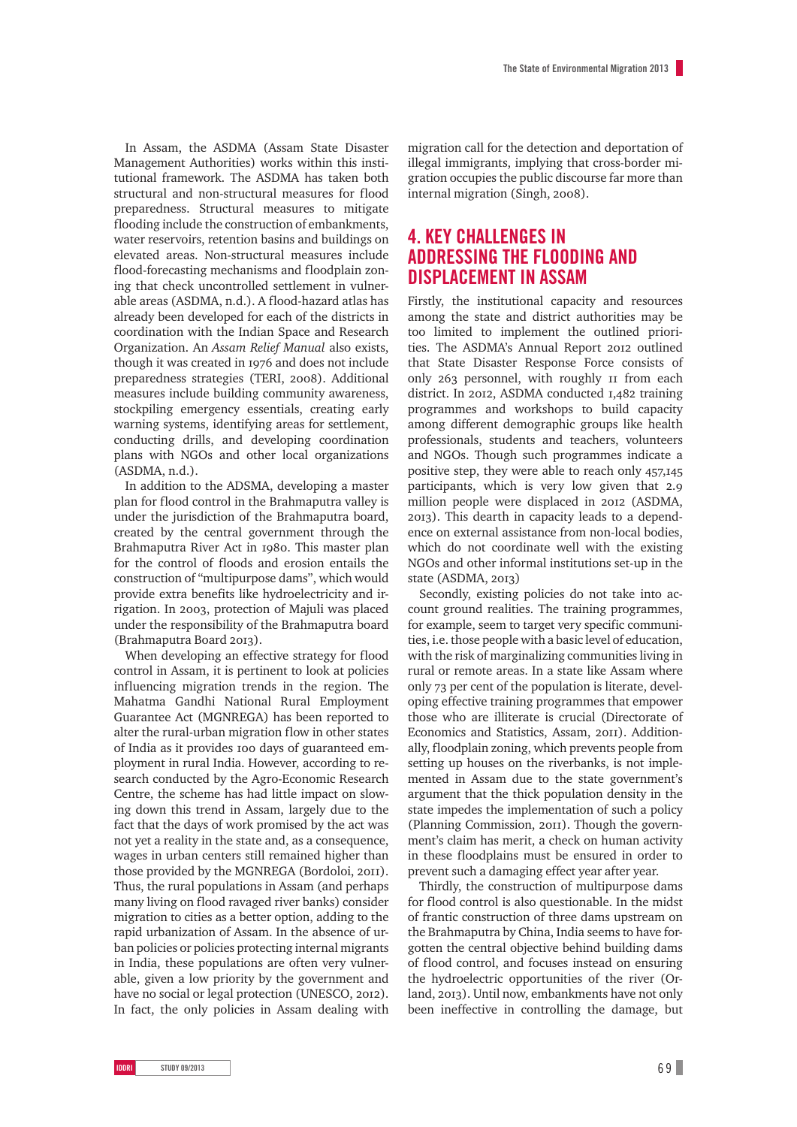In Assam, the ASDMA (Assam State Disaster Management Authorities) works within this institutional framework. The ASDMA has taken both structural and non-structural measures for flood preparedness. Structural measures to mitigate flooding include the construction of embankments, water reservoirs, retention basins and buildings on elevated areas. Non-structural measures include flood-forecasting mechanisms and floodplain zoning that check uncontrolled settlement in vulnerable areas (ASDMA, n.d.). A flood-hazard atlas has already been developed for each of the districts in coordination with the Indian Space and Research Organization. An *Assam Relief Manual* also exists, though it was created in 1976 and does not include preparedness strategies (TERI, 2008). Additional measures include building community awareness, stockpiling emergency essentials, creating early warning systems, identifying areas for settlement, conducting drills, and developing coordination plans with NGOs and other local organizations (ASDMA, n.d.).

In addition to the ADSMA, developing a master plan for flood control in the Brahmaputra valley is under the jurisdiction of the Brahmaputra board, created by the central government through the Brahmaputra River Act in 1980. This master plan for the control of floods and erosion entails the construction of "multipurpose dams", which would provide extra benefits like hydroelectricity and irrigation. In 2003, protection of Majuli was placed under the responsibility of the Brahmaputra board (Brahmaputra Board 2013).

When developing an effective strategy for flood control in Assam, it is pertinent to look at policies influencing migration trends in the region. The Mahatma Gandhi National Rural Employment Guarantee Act (MGNREGA) has been reported to alter the rural-urban migration flow in other states of India as it provides 100 days of guaranteed employment in rural India. However, according to research conducted by the Agro-Economic Research Centre, the scheme has had little impact on slowing down this trend in Assam, largely due to the fact that the days of work promised by the act was not yet a reality in the state and, as a consequence, wages in urban centers still remained higher than those provided by the MGNREGA (Bordoloi, 2011). Thus, the rural populations in Assam (and perhaps many living on flood ravaged river banks) consider migration to cities as a better option, adding to the rapid urbanization of Assam. In the absence of urban policies or policies protecting internal migrants in India, these populations are often very vulnerable, given a low priority by the government and have no social or legal protection (UNESCO, 2012). In fact, the only policies in Assam dealing with migration call for the detection and deportation of illegal immigrants, implying that cross-border migration occupies the public discourse far more than internal migration (Singh, 2008).

# **4. KEY CHALLENGES IN ADDRESSING THE FLOODING AND DISPLACEMENT IN ASSAM**

Firstly, the institutional capacity and resources among the state and district authorities may be too limited to implement the outlined priorities. The ASDMA's Annual Report 2012 outlined that State Disaster Response Force consists of only 263 personnel, with roughly  $\overline{p}$  if from each district. In 2012, ASDMA conducted  $I,482$  training programmes and workshops to build capacity among different demographic groups like health professionals, students and teachers, volunteers and NGOs. Though such programmes indicate a positive step, they were able to reach only 457,145 participants, which is very low given that 2.9 million people were displaced in 2012 (ASDMA, ). This dearth in capacity leads to a dependence on external assistance from non-local bodies, which do not coordinate well with the existing NGOs and other informal institutions set-up in the state  $(ASDMA, 2013)$ 

Secondly, existing policies do not take into account ground realities. The training programmes, for example, seem to target very specific communities, i.e. those people with a basic level of education, with the risk of marginalizing communities living in rural or remote areas. In a state like Assam where only 73 per cent of the population is literate, developing effective training programmes that empower those who are illiterate is crucial (Directorate of Economics and Statistics, Assam, 2011). Additionally, floodplain zoning, which prevents people from setting up houses on the riverbanks, is not implemented in Assam due to the state government's argument that the thick population density in the state impedes the implementation of such a policy (Planning Commission, 2011). Though the government's claim has merit, a check on human activity in these floodplains must be ensured in order to prevent such a damaging effect year after year.

Thirdly, the construction of multipurpose dams for flood control is also questionable. In the midst of frantic construction of three dams upstream on the Brahmaputra by China, India seems to have forgotten the central objective behind building dams of flood control, and focuses instead on ensuring the hydroelectric opportunities of the river (Orland, 2013). Until now, embankments have not only been ineffective in controlling the damage, but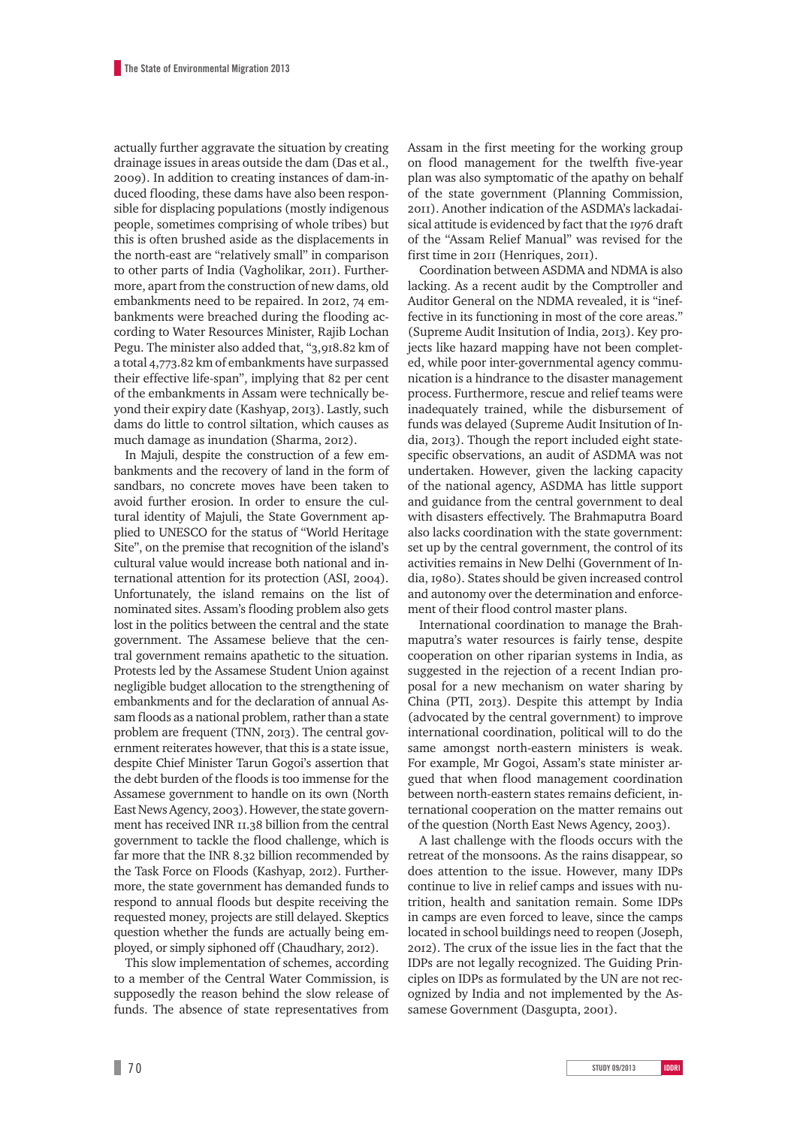actually further aggravate the situation by creating drainage issues in areas outside the dam (Das et al., ). In addition to creating instances of dam-induced flooding, these dams have also been responsible for displacing populations (mostly indigenous people, sometimes comprising of whole tribes) but this is often brushed aside as the displacements in the north-east are "relatively small" in comparison to other parts of India (Vagholikar, 2011). Furthermore, apart from the construction of new dams, old embankments need to be repaired. In 2012, 74 embankments were breached during the flooding according to Water Resources Minister, Rajib Lochan Pegu. The minister also added that, "3,918.82 km of a total 4,773.82 km of embankments have surpassed their effective life-span", implying that 82 per cent of the embankments in Assam were technically beyond their expiry date (Kashyap, 2013). Lastly, such dams do little to control siltation, which causes as much damage as inundation (Sharma, 2012).

In Majuli, despite the construction of a few embankments and the recovery of land in the form of sandbars, no concrete moves have been taken to avoid further erosion. In order to ensure the cultural identity of Majuli, the State Government applied to UNESCO for the status of "World Heritage Site", on the premise that recognition of the island's cultural value would increase both national and international attention for its protection (ASI, 2004). Unfortunately, the island remains on the list of nominated sites. Assam's flooding problem also gets lost in the politics between the central and the state government. The Assamese believe that the central government remains apathetic to the situation. Protests led by the Assamese Student Union against negligible budget allocation to the strengthening of embankments and for the declaration of annual Assam floods as a national problem, rather than a state problem are frequent (TNN, 2013). The central government reiterates however, that this is a state issue, despite Chief Minister Tarun Gogoi's assertion that the debt burden of the floods is too immense for the Assamese government to handle on its own (North East News Agency, 2003). However, the state government has received INR 11.38 billion from the central government to tackle the flood challenge, which is far more that the INR 8.32 billion recommended by the Task Force on Floods (Kashyap, 2012). Furthermore, the state government has demanded funds to respond to annual floods but despite receiving the requested money, projects are still delayed. Skeptics question whether the funds are actually being employed, or simply siphoned off (Chaudhary, 2012).

This slow implementation of schemes, according to a member of the Central Water Commission, is supposedly the reason behind the slow release of funds. The absence of state representatives from Assam in the first meeting for the working group on flood management for the twelfth five-year plan was also symptomatic of the apathy on behalf of the state government (Planning Commission, ). Another indication of the ASDMA's lackadaisical attitude is evidenced by fact that the 1976 draft of the "Assam Relief Manual" was revised for the first time in 2011 (Henriques, 2011).

Coordination between ASDMA and NDMA is also lacking. As a recent audit by the Comptroller and Auditor General on the NDMA revealed, it is "ineffective in its functioning in most of the core areas." (Supreme Audit Insitution of India, 2013). Key projects like hazard mapping have not been completed, while poor inter-governmental agency communication is a hindrance to the disaster management process. Furthermore, rescue and relief teams were inadequately trained, while the disbursement of funds was delayed (Supreme Audit Insitution of India, 2013). Though the report included eight statespecific observations, an audit of ASDMA was not undertaken. However, given the lacking capacity of the national agency, ASDMA has little support and guidance from the central government to deal with disasters effectively. The Brahmaputra Board also lacks coordination with the state government: set up by the central government, the control of its activities remains in New Delhi (Government of India, 1980). States should be given increased control and autonomy over the determination and enforcement of their flood control master plans.

International coordination to manage the Brahmaputra's water resources is fairly tense, despite cooperation on other riparian systems in India, as suggested in the rejection of a recent Indian proposal for a new mechanism on water sharing by China (PTI, 2013). Despite this attempt by India (advocated by the central government) to improve international coordination, political will to do the same amongst north-eastern ministers is weak. For example, Mr Gogoi, Assam's state minister argued that when flood management coordination between north-eastern states remains deficient, international cooperation on the matter remains out of the question (North East News Agency, 2003).

A last challenge with the floods occurs with the retreat of the monsoons. As the rains disappear, so does attention to the issue. However, many IDPs continue to live in relief camps and issues with nutrition, health and sanitation remain. Some IDPs in camps are even forced to leave, since the camps located in school buildings need to reopen (Joseph, ). The crux of the issue lies in the fact that the IDPs are not legally recognized. The Guiding Principles on IDPs as formulated by the UN are not recognized by India and not implemented by the Assamese Government (Dasgupta, 2001).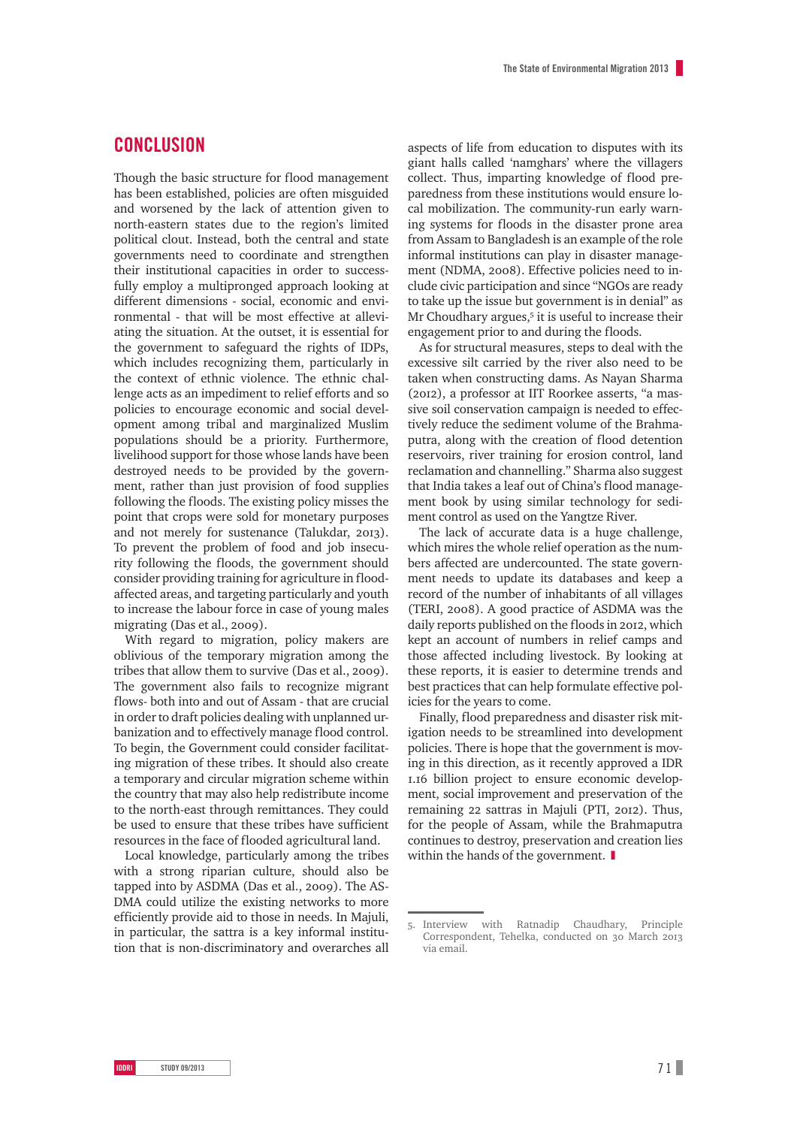# **CONCLUSION**

Though the basic structure for flood management has been established, policies are often misguided and worsened by the lack of attention given to north-eastern states due to the region's limited political clout. Instead, both the central and state governments need to coordinate and strengthen their institutional capacities in order to successfully employ a multipronged approach looking at different dimensions - social, economic and environmental - that will be most effective at alleviating the situation. At the outset, it is essential for the government to safeguard the rights of IDPs, which includes recognizing them, particularly in the context of ethnic violence. The ethnic challenge acts as an impediment to relief efforts and so policies to encourage economic and social development among tribal and marginalized Muslim populations should be a priority. Furthermore, livelihood support for those whose lands have been destroyed needs to be provided by the government, rather than just provision of food supplies following the floods. The existing policy misses the point that crops were sold for monetary purposes and not merely for sustenance (Talukdar, 2013). To prevent the problem of food and job insecurity following the floods, the government should consider providing training for agriculture in floodaffected areas, and targeting particularly and youth to increase the labour force in case of young males migrating (Das et al.,  $2009$ ).

With regard to migration, policy makers are oblivious of the temporary migration among the tribes that allow them to survive (Das et al., 2009). The government also fails to recognize migrant flows- both into and out of Assam - that are crucial in order to draft policies dealing with unplanned urbanization and to effectively manage flood control. To begin, the Government could consider facilitating migration of these tribes. It should also create a temporary and circular migration scheme within the country that may also help redistribute income to the north-east through remittances. They could be used to ensure that these tribes have sufficient resources in the face of flooded agricultural land.

Local knowledge, particularly among the tribes with a strong riparian culture, should also be tapped into by ASDMA (Das et al., 2009). The AS-DMA could utilize the existing networks to more efficiently provide aid to those in needs. In Majuli, in particular, the sattra is a key informal institution that is non-discriminatory and overarches all aspects of life from education to disputes with its giant halls called 'namghars' where the villagers collect. Thus, imparting knowledge of flood preparedness from these institutions would ensure local mobilization. The community-run early warning systems for floods in the disaster prone area from Assam to Bangladesh is an example of the role informal institutions can play in disaster management (NDMA, 2008). Effective policies need to include civic participation and since "NGOs are ready to take up the issue but government is in denial" as Mr Choudhary argues,<sup>5</sup> it is useful to increase their engagement prior to and during the floods.

As for structural measures, steps to deal with the excessive silt carried by the river also need to be taken when constructing dams. As Nayan Sharma (2012), a professor at IIT Roorkee asserts, "a massive soil conservation campaign is needed to effectively reduce the sediment volume of the Brahmaputra, along with the creation of flood detention reservoirs, river training for erosion control, land reclamation and channelling." Sharma also suggest that India takes a leaf out of China's flood management book by using similar technology for sediment control as used on the Yangtze River.

The lack of accurate data is a huge challenge, which mires the whole relief operation as the numbers affected are undercounted. The state government needs to update its databases and keep a record of the number of inhabitants of all villages (TERI, 2008). A good practice of ASDMA was the daily reports published on the floods in 2012, which kept an account of numbers in relief camps and those affected including livestock. By looking at these reports, it is easier to determine trends and best practices that can help formulate effective policies for the years to come.

Finally, flood preparedness and disaster risk mitigation needs to be streamlined into development policies. There is hope that the government is moving in this direction, as it recently approved a IDR 1.16 billion project to ensure economic development, social improvement and preservation of the remaining 22 sattras in Majuli (PTI, 2012). Thus, for the people of Assam, while the Brahmaputra continues to destroy, preservation and creation lies within the hands of the government.  $\blacksquare$ 

<sup>.</sup> Interview with Ratnadip Chaudhary, Principle Correspondent, Tehelka, conducted on 30 March 2013 via email.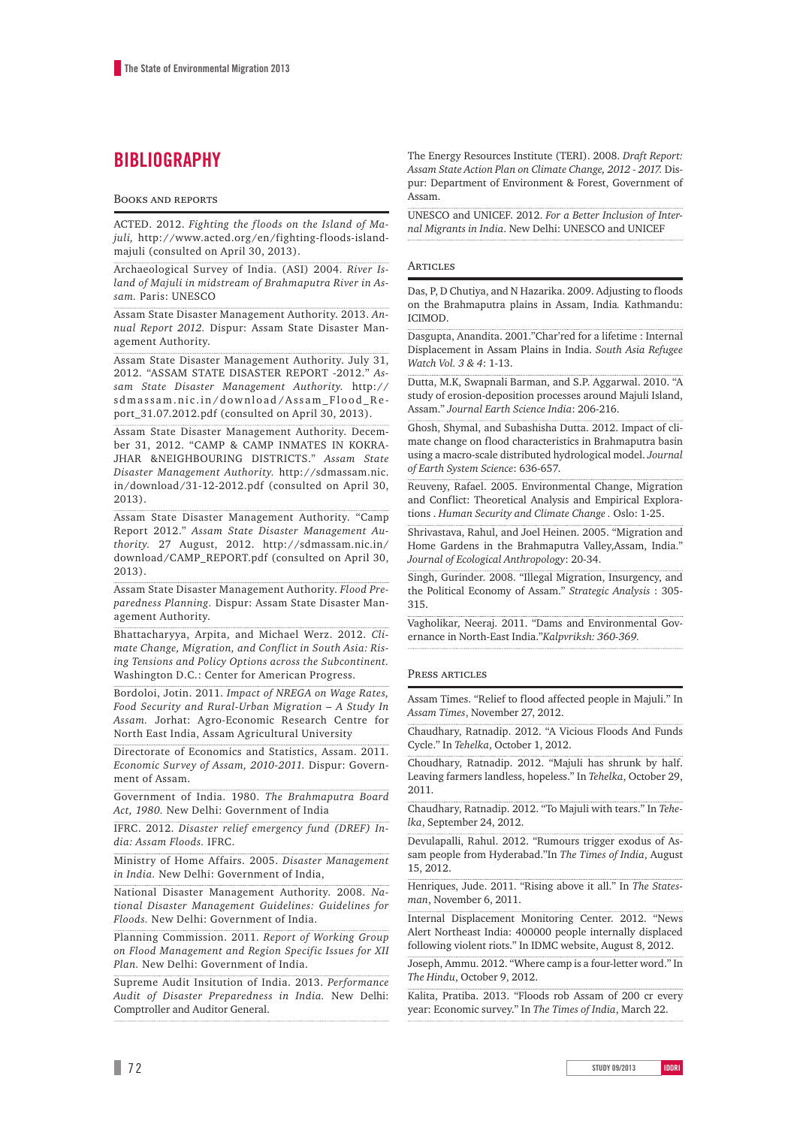# **BIBLIOGRAPHY**

#### **BOOKS AND REPORTS**

ACTED. 2012. *Fighting the floods on the Island of Majuli,* http://www.acted.org/en/fighting-floods-islandmajuli (consulted on April 30, 2013).

Archaeological Survey of India. (ASI) 2004. *River Island of Majuli in midstream of Brahmaputra River in Assam.* Paris: UNESCO

Assam State Disaster Management Authority. 2013. *Annual Report 2012.* Dispur: Assam State Disaster Management Authority.

Assam State Disaster Management Authority. July 31, 2012. "ASSAM STATE DISASTER REPORT -2012." *Assam State Disaster Management Authority.* http:// sdmassam.nic.in/download/Assam\_Flood\_Re port\_31.07.2012.pdf (consulted on April 30, 2013).

Assam State Disaster Management Authority. December 31, 2012. "CAMP & CAMP INMATES IN KOKRA-JHAR &NEIGHBOURING DISTRICTS." *Assam State Disaster Management Authority.* http://sdmassam.nic. in/download/31-12-2012.pdf (consulted on April 30, 2013).

Assam State Disaster Management Authority. "Camp Report 2012." *Assam State Disaster Management Authority.* 27 August, 2012. http://sdmassam.nic.in/ download/CAMP\_REPORT.pdf (consulted on April 30, 2013).

Assam State Disaster Management Authority. *Flood Preparedness Planning.* Dispur: Assam State Disaster Management Authority.

Bhattacharyya, Arpita, and Michael Werz. 2012. *Climate Change, Migration, and Conflict in South Asia: Rising Tensions and Policy Options across the Subcontinent.* Washington D.C.: Center for American Progress.

Bordoloi, Jotin. 2011. *Impact of NREGA on Wage Rates, Food Security and Rural-Urban Migration – A Study In Assam.* Jorhat: Agro-Economic Research Centre for North East India, Assam Agricultural University

Directorate of Economics and Statistics, Assam. 2011. *Economic Survey of Assam, 2010-2011.* Dispur: Government of Assam.

Government of India. 1980. *The Brahmaputra Board Act, 1980.* New Delhi: Government of India

IFRC. 2012. *Disaster relief emergency fund (DREF) India: Assam Floods.* IFRC.

Ministry of Home Affairs. 2005. *Disaster Management in India.* New Delhi: Government of India,

National Disaster Management Authority. 2008. *National Disaster Management Guidelines: Guidelines for Floods.* New Delhi: Government of India.

Planning Commission. 2011. *Report of Working Group on Flood Management and Region Specific Issues for XII Plan.* New Delhi: Government of India.

Supreme Audit Insitution of India. 2013. *Performance Audit of Disaster Preparedness in India.* New Delhi: Comptroller and Auditor General.

The Energy Resources Institute (TERI). 2008. *Draft Report: Assam State Action Plan on Climate Change, 2012 - 2017.* Dispur: Department of Environment & Forest, Government of Assam.

UNESCO and UNICEF. 2012. *For a Better Inclusion of Internal Migrants in India*. New Delhi: UNESCO and UNICEF

#### **ARTICLES**

Das, P, D Chutiya, and N Hazarika. 2009. Adjusting to floods on the Brahmaputra plains in Assam, India*.* Kathmandu: ICIMOD.

Dasgupta, Anandita. 2001."Char'red for a lifetime : Internal Displacement in Assam Plains in India. *South Asia Refugee Watch Vol. 3 & 4*: 1-13.

Dutta, M.K, Swapnali Barman, and S.P. Aggarwal. 2010. "A study of erosion-deposition processes around Majuli Island, Assam." *Journal Earth Science India*: 206-216.

Ghosh, Shymal, and Subashisha Dutta. 2012. Impact of climate change on flood characteristics in Brahmaputra basin using a macro-scale distributed hydrological model. *Journal of Earth System Science*: 636-657.

Reuveny, Rafael. 2005. Environmental Change, Migration and Conflict: Theoretical Analysis and Empirical Explorations . *Human Security and Climate Change .* Oslo: 1-25.

Shrivastava, Rahul, and Joel Heinen. 2005. "Migration and Home Gardens in the Brahmaputra Valley,Assam, India." *Journal of Ecological Anthropology*: 20-34.

Singh, Gurinder. 2008. "Illegal Migration, Insurgency, and the Political Economy of Assam." *Strategic Analysis* : 305- 315.

Vagholikar, Neeraj. 2011. "Dams and Environmental Governance in North-East India."*Kalpvriksh: 360-369.*

#### PRESS ARTICLES

Assam Times. "Relief to flood affected people in Majuli." In *Assam Times*, November 27, 2012.

Chaudhary, Ratnadip. 2012. "A Vicious Floods And Funds Cycle." In *Tehelka*, October 1, 2012.

Choudhary, Ratnadip. 2012. "Majuli has shrunk by half. Leaving farmers landless, hopeless." In *Tehelka*, October 29, 2011.

Chaudhary, Ratnadip. 2012. "To Majuli with tears." In *Tehelka*, September 24, 2012.

Devulapalli, Rahul. 2012. "Rumours trigger exodus of Assam people from Hyderabad."In *The Times of India*, August 15, 2012.

Henriques, Jude. 2011. "Rising above it all." In *The Statesman*, November 6, 2011.

Internal Displacement Monitoring Center. 2012. "News Alert Northeast India: 400000 people internally displaced following violent riots." In IDMC website, August 8, 2012.

Joseph, Ammu. 2012. "Where camp is a four-letter word." In *The Hindu*, October 9, 2012.

Kalita, Pratiba. 2013. "Floods rob Assam of 200 cr every year: Economic survey." In *The Times of India*, March 22.